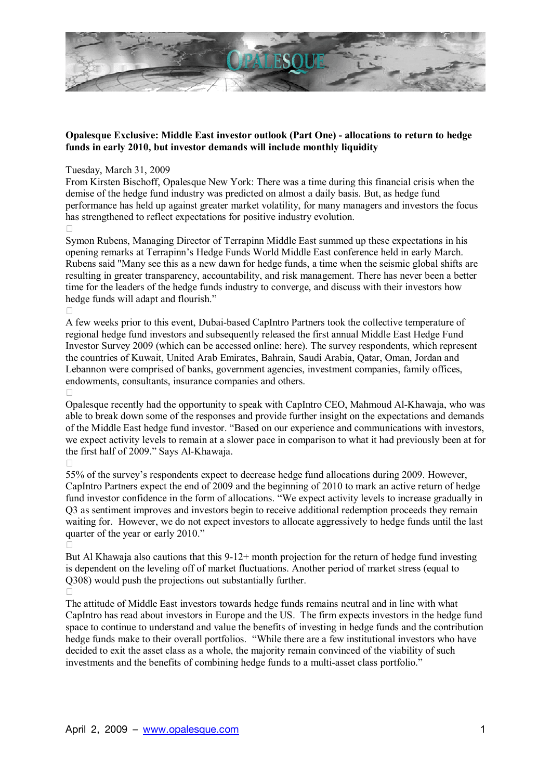

## **Opalesque Exclusive: Middle East investor outlook (Part One) - allocations to return to hedge funds in early 2010, but investor demands will include monthly liquidity**

## Tuesday, March 31, 2009

From Kirsten Bischoff, Opalesque New York: There was a time during this financial crisis when the demise of the hedge fund industry was predicted on almost a daily basis. But, as hedge fund performance has held up against greater market volatility, for many managers and investors the focus has strengthened to reflect expectations for positive industry evolution.

Symon Rubens, Managing Director of Terrapinn Middle East summed up these expectations in his opening remarks at Terrapinn's Hedge Funds World Middle East conference held in early March. Rubens said "Many see this as a new dawn for hedge funds, a time when the seismic global shifts are resulting in greater transparency, accountability, and risk management. There has never been a better time for the leaders of the hedge funds industry to converge, and discuss with their investors how hedge funds will adapt and flourish."

A few weeks prior to this event, Dubai-based CapIntro Partners took the collective temperature of regional hedge fund investors and subsequently released the first annual Middle East Hedge Fund Investor Survey 2009 (which can be accessed online: here). The survey respondents, which represent the countries of Kuwait, United Arab Emirates, Bahrain, Saudi Arabia, Qatar, Oman, Jordan and Lebannon were comprised of banks, government agencies, investment companies, family offices, endowments, consultants, insurance companies and others.

Opalesque recently had the opportunity to speak with CapIntro CEO, Mahmoud Al-Khawaja, who was able to break down some of the responses and provide further insight on the expectations and demands of the Middle East hedge fund investor. "Based on our experience and communications with investors, we expect activity levels to remain at a slower pace in comparison to what it had previously been at for the first half of 2009." Says Al-Khawaja.

55% of the surveyís respondents expect to decrease hedge fund allocations during 2009. However, CapIntro Partners expect the end of 2009 and the beginning of 2010 to mark an active return of hedge fund investor confidence in the form of allocations. "We expect activity levels to increase gradually in Q3 as sentiment improves and investors begin to receive additional redemption proceeds they remain waiting for. However, we do not expect investors to allocate aggressively to hedge funds until the last quarter of the year or early 2010.<sup>"</sup>

But Al Khawaja also cautions that this 9-12+ month projection for the return of hedge fund investing is dependent on the leveling off of market fluctuations. Another period of market stress (equal to Q308) would push the projections out substantially further.

The attitude of Middle East investors towards hedge funds remains neutral and in line with what CapIntro has read about investors in Europe and the US. The firm expects investors in the hedge fund space to continue to understand and value the benefits of investing in hedge funds and the contribution hedge funds make to their overall portfolios. "While there are a few institutional investors who have decided to exit the asset class as a whole, the majority remain convinced of the viability of such investments and the benefits of combining hedge funds to a multi-asset class portfolio.<sup>7</sup>